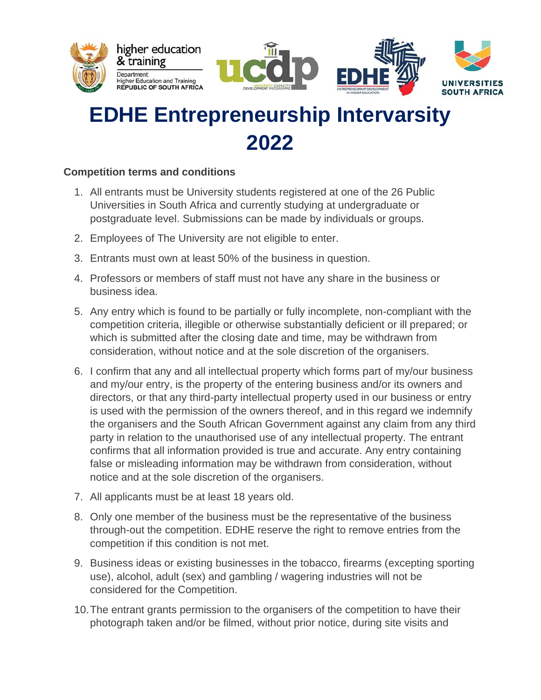





## **EDHE Entrepreneurship Intervarsity 2022**

## **Competition terms and conditions**

- 1. All entrants must be University students registered at one of the 26 Public Universities in South Africa and currently studying at undergraduate or postgraduate level. Submissions can be made by individuals or groups.
- 2. Employees of The University are not eligible to enter.
- 3. Entrants must own at least 50% of the business in question.
- 4. Professors or members of staff must not have any share in the business or business idea.
- 5. Any entry which is found to be partially or fully incomplete, non-compliant with the competition criteria, illegible or otherwise substantially deficient or ill prepared; or which is submitted after the closing date and time, may be withdrawn from consideration, without notice and at the sole discretion of the organisers.
- 6. I confirm that any and all intellectual property which forms part of my/our business and my/our entry, is the property of the entering business and/or its owners and directors, or that any third-party intellectual property used in our business or entry is used with the permission of the owners thereof, and in this regard we indemnify the organisers and the South African Government against any claim from any third party in relation to the unauthorised use of any intellectual property. The entrant confirms that all information provided is true and accurate. Any entry containing false or misleading information may be withdrawn from consideration, without notice and at the sole discretion of the organisers.
- 7. All applicants must be at least 18 years old.
- 8. Only one member of the business must be the representative of the business through-out the competition. EDHE reserve the right to remove entries from the competition if this condition is not met.
- 9. Business ideas or existing businesses in the tobacco, firearms (excepting sporting use), alcohol, adult (sex) and gambling / wagering industries will not be considered for the Competition.
- 10.The entrant grants permission to the organisers of the competition to have their photograph taken and/or be filmed, without prior notice, during site visits and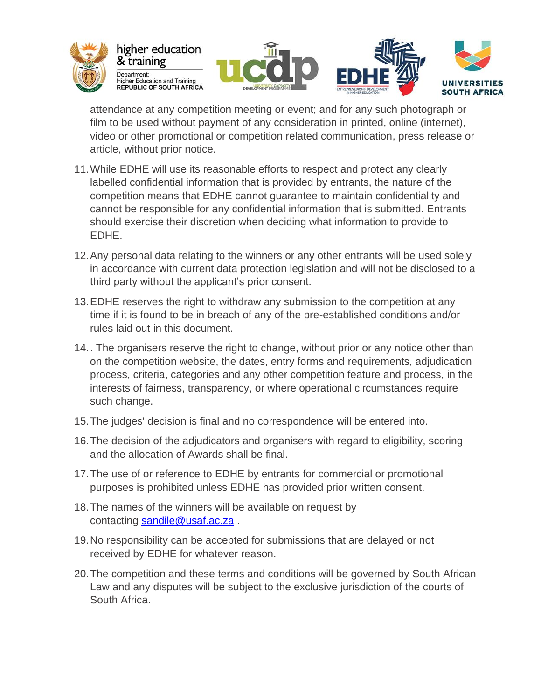





attendance at any competition meeting or event; and for any such photograph or film to be used without payment of any consideration in printed, online (internet), video or other promotional or competition related communication, press release or article, without prior notice.

- 11.While EDHE will use its reasonable efforts to respect and protect any clearly labelled confidential information that is provided by entrants, the nature of the competition means that EDHE cannot guarantee to maintain confidentiality and cannot be responsible for any confidential information that is submitted. Entrants should exercise their discretion when deciding what information to provide to EDHE.
- 12.Any personal data relating to the winners or any other entrants will be used solely in accordance with current data protection legislation and will not be disclosed to a third party without the applicant's prior consent.
- 13.EDHE reserves the right to withdraw any submission to the competition at any time if it is found to be in breach of any of the pre-established conditions and/or rules laid out in this document.
- 14.. The organisers reserve the right to change, without prior or any notice other than on the competition website, the dates, entry forms and requirements, adjudication process, criteria, categories and any other competition feature and process, in the interests of fairness, transparency, or where operational circumstances require such change.
- 15.The judges' decision is final and no correspondence will be entered into.
- 16.The decision of the adjudicators and organisers with regard to eligibility, scoring and the allocation of Awards shall be final.
- 17.The use of or reference to EDHE by entrants for commercial or promotional purposes is prohibited unless EDHE has provided prior written consent.
- 18.The names of the winners will be available on request by contacting [sandile@usaf.ac.za](mailto:sandile@usaf.ac.za) .
- 19.No responsibility can be accepted for submissions that are delayed or not received by EDHE for whatever reason.
- 20.The competition and these terms and conditions will be governed by South African Law and any disputes will be subject to the exclusive jurisdiction of the courts of South Africa.